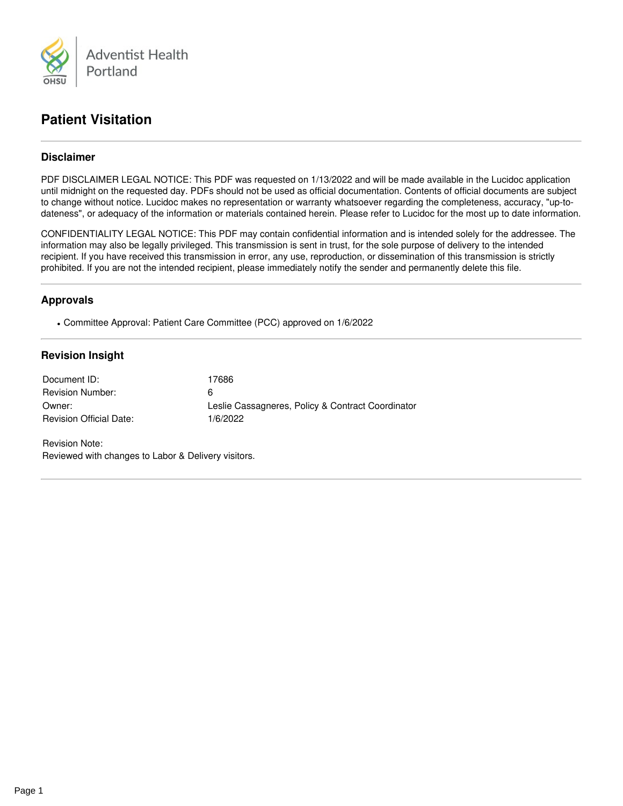

# **Patient Visitation**

# **Disclaimer**

PDF DISCLAIMER LEGAL NOTICE: This PDF was requested on 1/13/2022 and will be made available in the Lucidoc application until midnight on the requested day. PDFs should not be used as official documentation. Contents of official documents are subject to change without notice. Lucidoc makes no representation or warranty whatsoever regarding the completeness, accuracy, "up-to dateness", or adequacy of the information or materials contained herein. Please refer to Lucidoc for the most up to date information.

CONFIDENTIALITY LEGAL NOTICE: This PDF may contain confidential information and is intended solely for the addressee. The information may also be legally privileged. This transmission is sent in trust, for the sole purpose of delivery to the intended recipient. If you have received this transmission in error, any use, reproduction, or dissemination of this transmission is strictly prohibited. If you are not the intended recipient, please immediately notify the sender and permanently delete this file.

## **Approvals**

Committee Approval: Patient Care Committee (PCC) approved on 1/6/2022

## **Revision Insight**

| Document ID:                   | 17686                                             |
|--------------------------------|---------------------------------------------------|
| <b>Revision Number:</b>        | 6                                                 |
| Owner:                         | Leslie Cassagneres, Policy & Contract Coordinator |
| <b>Revision Official Date:</b> | 1/6/2022                                          |

Revision Note: Reviewed with changes to Labor & Delivery visitors.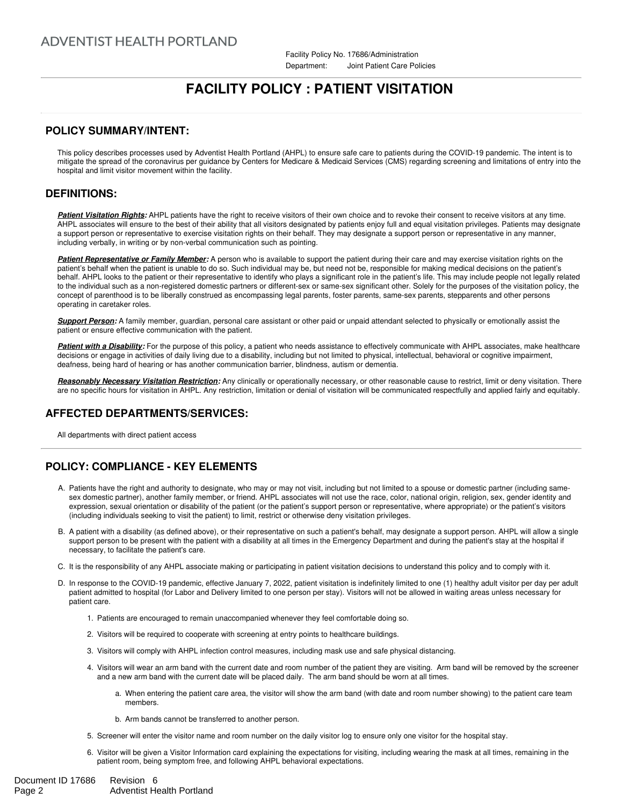Facility Policy No. 17686/Administration Department: Joint Patient Care Policies

# **FACILITY POLICY : PATIENT VISITATION**

#### **POLICY SUMMARY/INTENT:**

This policy describes processes used by Adventist Health Portland (AHPL) to ensure safe care to patients during the COVID-19 pandemic. The intent is to mitigate the spread of the coronavirus per guidance by Centers for Medicare & Medicaid Services (CMS) regarding screening and limitations of entry into the hospital and limit visitor movement within the facility.

#### **DEFINITIONS:**

**Patient Visitation Rights:** AHPL patients have the right to receive visitors of their own choice and to revoke their consent to receive visitors at any time. AHPL associates will ensure to the best of their ability that all visitors designated by patients enjoy full and equal visitation privileges. Patients may designate a support person or representative to exercise visitation rights on their behalf. They may designate a support person or representative in any manner, including verbally, in writing or by non-verbal communication such as pointing.

**Patient Representative or Family Member:** A person who is available to support the patient during their care and may exercise visitation rights on the patient's behalf when the patient is unable to do so. Such individual may be, but need not be, responsible for making medical decisions on the patient's behalf. AHPL looks to the patient or their representative to identify who plays a significant role in the patient's life. This may include people not legally related to the individual such as a non-registered domestic partners or different-sex or same-sex significant other. Solely for the purposes of the visitation policy, the concept of parenthood is to be liberally construed as encompassing legal parents, foster parents, same-sex parents, stepparents and other persons operating in caretaker roles.

*Support Person:* A family member, guardian, personal care assistant or other paid or unpaid attendant selected to physically or emotionally assist the patient or ensure effective communication with the patient.

*Patient with a Disability:* For the purpose of this policy, a patient who needs assistance to effectively communicate with AHPL associates, make healthcare decisions or engage in activities of daily living due to a disability, including but not limited to physical, intellectual, behavioral or cognitive impairment, deafness, being hard of hearing or has another communication barrier, blindness, autism or dementia.

*Reasonably Necessary Visitation Restriction:* Any clinically or operationally necessary, or other reasonable cause to restrict, limit or deny visitation. There are no specific hours for visitation in AHPL. Any restriction, limitation or denial of visitation will be communicated respectfully and applied fairly and equitably.

### **AFFECTED DEPARTMENTS/SERVICES:**

All departments with direct patient access

# **POLICY: COMPLIANCE - KEY ELEMENTS**

- A. Patients have the right and authority to designate, who may or may not visit, including but not limited to a spouse or domestic partner (including same sex domestic partner), another family member, or friend. AHPL associates will not use the race, color, national origin, religion, sex, gender identity and expression, sexual orientation or disability of the patient (or the patient's support person or representative, where appropriate) or the patient's visitors (including individuals seeking to visit the patient) to limit, restrict or otherwise deny visitation privileges.
- B. A patient with a disability (as defined above), or their representative on such a patient's behalf, may designate a support person. AHPL will allow a single support person to be present with the patient with a disability at all times in the Emergency Department and during the patient's stay at the hospital if necessary, to facilitate the patient's care.
- C. It is the responsibility of any AHPL associate making or participating in patient visitation decisions to understand this policy and to comply with it.
- D. In response to the COVID-19 pandemic, effective January 7, 2022, patient visitation is indefinitely limited to one (1) healthy adult visitor per day per adult patient admitted to hospital (for Labor and Delivery limited to one person per stay). Visitors will not be allowed in waiting areas unless necessary for patient care.
	- 1. Patients are encouraged to remain unaccompanied whenever they feel comfortable doing so.
	- 2. Visitors will be required to cooperate with screening at entry points to healthcare buildings.
	- 3. Visitors will comply with AHPL infection control measures, including mask use and safe physical distancing.
	- 4. Visitors will wear an arm band with the current date and room number of the patient they are visiting. Arm band will be removed by the screener and a new arm band with the current date will be placed daily. The arm band should be worn at all times.
		- a. When entering the patient care area, the visitor will show the arm band (with date and room number showing) to the patient care team members.
		- b. Arm bands cannot be transferred to another person.
	- 5. Screener will enter the visitor name and room number on the daily visitor log to ensure only one visitor for the hospital stay.
	- 6. Visitor will be given a Visitor Information card explaining the expectations for visiting, including wearing the mask at all times, remaining in the patient room, being symptom free, and following AHPL behavioral expectations.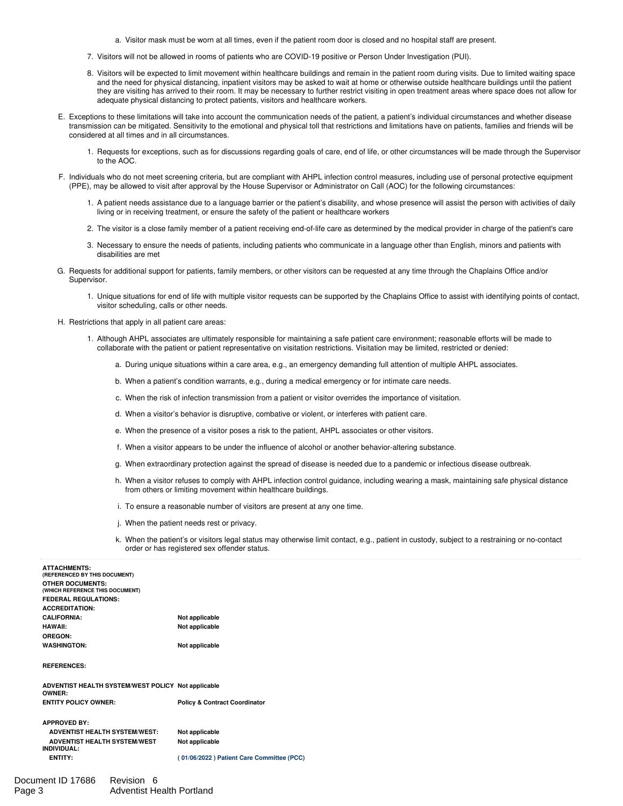- a. Visitor mask must be worn at all times, even if the patient room door is closed and no hospital staff are present.
- 7. Visitors will not be allowed in rooms of patients who are COVID-19 positive or Person Under Investigation (PUI).
- 8. Visitors will be expected to limit movement within healthcare buildings and remain in the patient room during visits. Due to limited waiting space and the need for physical distancing, inpatient visitors may be asked to wait at home or otherwise outside healthcare buildings until the patient they are visiting has arrived to their room. It may be necessary to further restrict visiting in open treatment areas where space does not allow for adequate physical distancing to protect patients, visitors and healthcare workers.
- E. Exceptions to these limitations will take into account the communication needs of the patient, a patient's individual circumstances and whether disease transmission can be mitigated. Sensitivity to the emotional and physical toll that restrictions and limitations have on patients, families and friends will be considered at all times and in all circumstances.
	- 1. Requests for exceptions, such as for discussions regarding goals of care, end of life, or other circumstances will be made through the Supervisor to the AOC.
- F. Individuals who do not meet screening criteria, but are compliant with AHPL infection control measures, including use of personal protective equipment (PPE), may be allowed to visit after approval by the House Supervisor or Administrator on Call (AOC) for the following circumstances:
	- 1. A patient needs assistance due to a language barrier or the patient's disability, and whose presence will assist the person with activities of daily living or in receiving treatment, or ensure the safety of the patient or healthcare workers
	- 2. The visitor is a close family member of a patient receiving end-of-life care as determined by the medical provider in charge of the patient's care
	- 3. Necessary to ensure the needs of patients, including patients who communicate in a language other than English, minors and patients with disabilities are met
- G. Requests for additional support for patients, family members, or other visitors can be requested at any time through the Chaplains Office and/or Supervisor.
	- 1. Unique situations for end of life with multiple visitor requests can be supported by the Chaplains Office to assist with identifying points of contact, visitor scheduling, calls or other needs.
- H. Restrictions that apply in all patient care areas:
	- 1. Although AHPL associates are ultimately responsible for maintaining a safe patient care environment; reasonable efforts will be made to collaborate with the patient or patient representative on visitation restrictions. Visitation may be limited, restricted or denied:
		- a. During unique situations within a care area, e.g., an emergency demanding full attention of multiple AHPL associates.
		- b. When a patient's condition warrants, e.g., during a medical emergency or for intimate care needs.
		- c. When the risk of infection transmission from apatient or visitor overrides the importance of visitation.
		- d. When a visitor's behavior is disruptive, combative or violent, or interferes with patient care.
		- e. When the presence of a visitor poses a risk to the patient, AHPL associates or other visitors.
		- f. When a visitor appears to be under the influence of alcohol or another behavior-altering substance.
		- g. When extraordinary protection against the spread of disease is needed due to a pandemic or infectious disease outbreak.
		- h. When a visitor refuses to comply with AHPL infection control guidance, including wearing a mask, maintaining safe physical distance from others or limiting movement within healthcare buildings.
		- i. To ensure a reasonable number of visitors are present at any one time.
		- j. When the patient needs rest or privacy.
		- k. When the patient's or visitors legal status may otherwise limit contact, e.g., patient in custody, subject to a restraining or no-contact order or has registered sex offender status.

| <b>ATTACHMENTS:</b><br>(REFERENCED BY THIS DOCUMENT)       |                |
|------------------------------------------------------------|----------------|
| <b>OTHER DOCUMENTS:</b><br>(WHICH REFERENCE THIS DOCUMENT) |                |
| <b>FEDERAL REGULATIONS:</b>                                |                |
| <b>ACCREDITATION:</b>                                      |                |
| <b>CALIFORNIA:</b>                                         | Not applicable |
| <b>HAWAII:</b>                                             | Not applicable |
| OREGON:                                                    |                |
| <b>WASHINGTON:</b>                                         | Not applicable |
|                                                            |                |

#### **REFERENCES:**

| ADVENTIST HEALTH SYSTEM/WEST POLICY Not applicable<br><b>OWNER:</b> |                                          |
|---------------------------------------------------------------------|------------------------------------------|
| <b>ENTITY POLICY OWNER:</b>                                         | <b>Policy &amp; Contract Coordinator</b> |
| <b>APPROVED BY:</b>                                                 |                                          |
| <b>ADVENTIST HEALTH SYSTEM/WEST:</b>                                | Not applicable                           |
| <b>ADVENTIST HEALTH SYSTEM/WEST</b><br>INDIVIDUAL:                  | Not applicable                           |

**ENTITY: ( 01/06/2022 ) Patient Care [Committee](file:///cgi/doc-gw.pl?ref=amc:17686$6.2) (PCC)**

| Document ID 17686 | Revision 6                       |
|-------------------|----------------------------------|
| Page 3            | <b>Adventist Health Portland</b> |